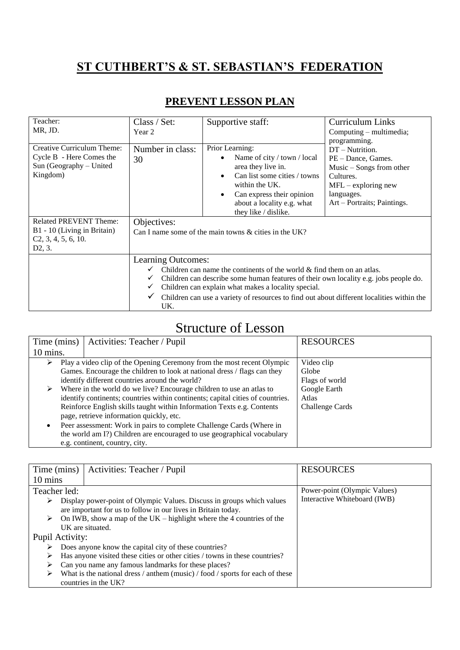## **ST CUTHBERT'S & ST. SEBASTIAN'S FEDERATION**

## **PREVENT LESSON PLAN**

| Teacher:<br>MR, JD.                                                                                        | Class / Set:<br>Year 2                                                                                                                                                                                                                                                                                                                                                                       | Supportive staff:                                                                                                                                                                                         | <b>Curriculum Links</b><br>Computing – multimedia;<br>programming.                                                                                     |
|------------------------------------------------------------------------------------------------------------|----------------------------------------------------------------------------------------------------------------------------------------------------------------------------------------------------------------------------------------------------------------------------------------------------------------------------------------------------------------------------------------------|-----------------------------------------------------------------------------------------------------------------------------------------------------------------------------------------------------------|--------------------------------------------------------------------------------------------------------------------------------------------------------|
| Creative Curriculum Theme:<br>Cycle B - Here Comes the<br>Sun (Geography – United<br>Kingdom)              | Number in class:<br>30                                                                                                                                                                                                                                                                                                                                                                       | Prior Learning:<br>Name of city / town / local<br>area they live in.<br>Can list some cities / towns<br>within the UK.<br>Can express their opinion<br>about a locality e.g. what<br>they like / dislike. | DT - Nutrition.<br>PE – Dance, Games.<br>$Music - Songs from other$<br>Cultures.<br>$MFL - exploring new$<br>languages.<br>Art – Portraits; Paintings. |
| <b>Related PREVENT Theme:</b><br>B1 - 10 (Living in Britain)<br>C2, 3, 4, 5, 6, 10.<br>D <sub>2</sub> , 3. | Objectives:<br>Can I name some of the main towns $\&$ cities in the UK?                                                                                                                                                                                                                                                                                                                      |                                                                                                                                                                                                           |                                                                                                                                                        |
|                                                                                                            | Learning Outcomes:<br>Children can name the continents of the world $\&$ find them on an atlas.<br>$\checkmark$<br>Children can describe some human features of their own locality e.g. jobs people do.<br>✓<br>Children can explain what makes a locality special.<br>$\checkmark$<br>Children can use a variety of resources to find out about different localities within the<br>✓<br>UK. |                                                                                                                                                                                                           |                                                                                                                                                        |

## Structure of Lesson

| Time (mins) | Activities: Teacher / Pupil                                                               | <b>RESOURCES</b> |  |
|-------------|-------------------------------------------------------------------------------------------|------------------|--|
| 10 mins.    |                                                                                           |                  |  |
| ⋗           | Play a video clip of the Opening Ceremony from the most recent Olympic                    | Video clip       |  |
|             | Games. Encourage the children to look at national dress / flags can they                  | Globe            |  |
|             | identify different countries around the world?                                            | Flags of world   |  |
| ➤           | Where in the world do we live? Encourage children to use an atlas to<br>Google Earth      |                  |  |
|             | identify continents; countries within continents; capital cities of countries.            | Atlas            |  |
|             | Reinforce English skills taught within Information Texts e.g. Contents<br>Challenge Cards |                  |  |
|             | page, retrieve information quickly, etc.                                                  |                  |  |
|             | Peer assessment: Work in pairs to complete Challenge Cards (Where in                      |                  |  |
|             | the world am I?) Children are encouraged to use geographical vocabulary                   |                  |  |
|             | e.g. continent, country, city.                                                            |                  |  |

| Time (mins)       | Activities: Teacher / Pupil                                                                                                            | <b>RESOURCES</b>             |
|-------------------|----------------------------------------------------------------------------------------------------------------------------------------|------------------------------|
| $10 \text{ mins}$ |                                                                                                                                        |                              |
| Teacher led:      |                                                                                                                                        | Power-point (Olympic Values) |
| ➤                 | Display power-point of Olympic Values. Discuss in groups which values<br>are important for us to follow in our lives in Britain today. | Interactive Whiteboard (IWB) |
| ➤                 | On IWB, show a map of the UK – highlight where the 4 countries of the                                                                  |                              |
|                   | UK are situated.                                                                                                                       |                              |
| Pupil Activity:   |                                                                                                                                        |                              |
| ➤                 | Does anyone know the capital city of these countries?                                                                                  |                              |
| ➤                 | Has anyone visited these cities or other cities / towns in these countries?                                                            |                              |
| ➤                 | Can you name any famous landmarks for these places?                                                                                    |                              |
|                   | What is the national dress / anthem (music) / food / sports for each of these                                                          |                              |
|                   | countries in the UK?                                                                                                                   |                              |